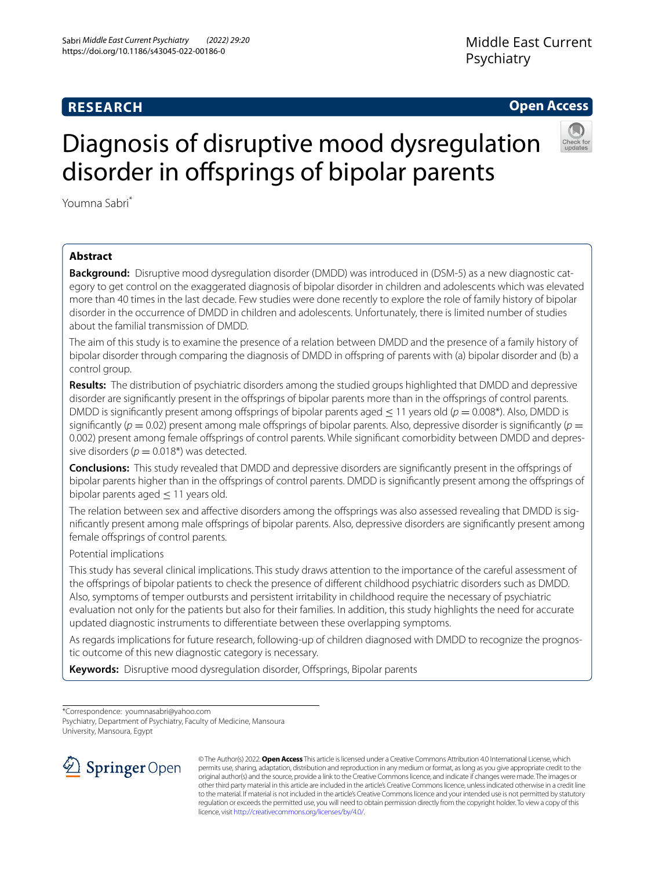# **RESEARCH**

# **Open Access**



# Diagnosis of disruptive mood dysregulation disorder in offsprings of bipolar parents

Youmna Sabri\*

# **Abstract**

**Background:** Disruptive mood dysregulation disorder (DMDD) was introduced in (DSM-5) as a new diagnostic category to get control on the exaggerated diagnosis of bipolar disorder in children and adolescents which was elevated more than 40 times in the last decade. Few studies were done recently to explore the role of family history of bipolar disorder in the occurrence of DMDD in children and adolescents. Unfortunately, there is limited number of studies about the familial transmission of DMDD.

The aim of this study is to examine the presence of a relation between DMDD and the presence of a family history of bipolar disorder through comparing the diagnosis of DMDD in ofspring of parents with (a) bipolar disorder and (b) a control group.

**Results:** The distribution of psychiatric disorders among the studied groups highlighted that DMDD and depressive disorder are signifcantly present in the ofsprings of bipolar parents more than in the ofsprings of control parents. DMDD is signifcantly present among ofsprings of bipolar parents aged ≤ 11 years old (*p* = 0.008\*). Also, DMDD is significantly ( $p = 0.02$ ) present among male offsprings of bipolar parents. Also, depressive disorder is significantly ( $p =$ 0.002) present among female ofsprings of control parents. While signifcant comorbidity between DMDD and depressive disorders ( $p = 0.018$ <sup>\*</sup>) was detected.

**Conclusions:** This study revealed that DMDD and depressive disorders are signifcantly present in the ofsprings of bipolar parents higher than in the ofsprings of control parents. DMDD is signifcantly present among the ofsprings of bipolar parents aged  $\leq$  11 years old.

The relation between sex and affective disorders among the offsprings was also assessed revealing that DMDD is signifcantly present among male ofsprings of bipolar parents. Also, depressive disorders are signifcantly present among female ofsprings of control parents.

# Potential implications

This study has several clinical implications. This study draws attention to the importance of the careful assessment of the ofsprings of bipolar patients to check the presence of diferent childhood psychiatric disorders such as DMDD. Also, symptoms of temper outbursts and persistent irritability in childhood require the necessary of psychiatric evaluation not only for the patients but also for their families. In addition, this study highlights the need for accurate updated diagnostic instruments to diferentiate between these overlapping symptoms.

As regards implications for future research, following-up of children diagnosed with DMDD to recognize the prognostic outcome of this new diagnostic category is necessary.

**Keywords:** Disruptive mood dysregulation disorder, Offsprings, Bipolar parents

\*Correspondence: youmnasabri@yahoo.com

University, Mansoura, Egypt



© The Author(s) 2022. **Open Access** This article is licensed under a Creative Commons Attribution 4.0 International License, which permits use, sharing, adaptation, distribution and reproduction in any medium or format, as long as you give appropriate credit to the original author(s) and the source, provide a link to the Creative Commons licence, and indicate if changes were made. The images or other third party material in this article are included in the article's Creative Commons licence, unless indicated otherwise in a credit line to the material. If material is not included in the article's Creative Commons licence and your intended use is not permitted by statutory regulation or exceeds the permitted use, you will need to obtain permission directly from the copyright holder. To view a copy of this licence, visit [http://creativecommons.org/licenses/by/4.0/.](http://creativecommons.org/licenses/by/4.0/)

Psychiatry, Department of Psychiatry, Faculty of Medicine, Mansoura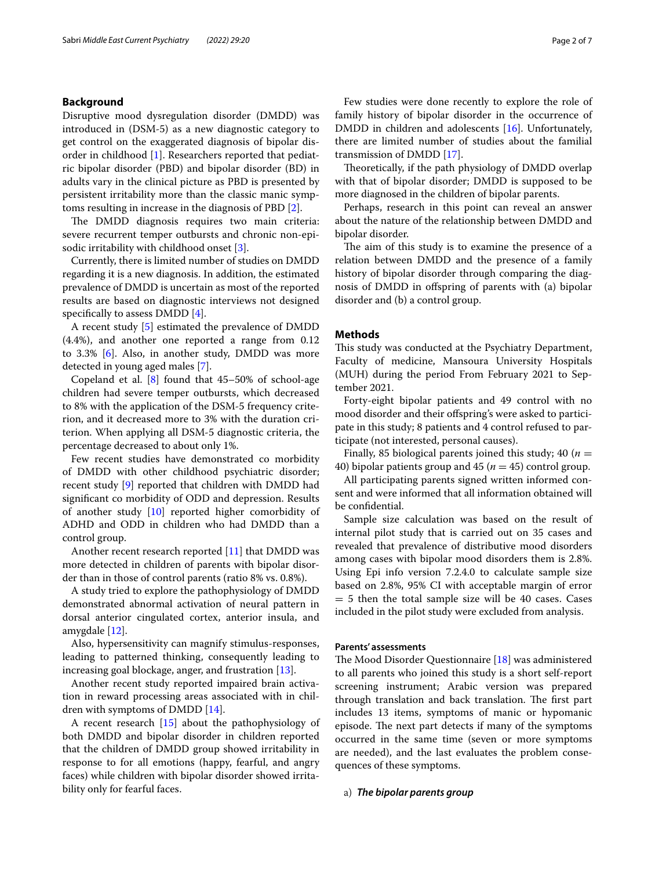# **Background**

Disruptive mood dysregulation disorder (DMDD) was introduced in (DSM-5) as a new diagnostic category to get control on the exaggerated diagnosis of bipolar disorder in childhood [[1\]](#page-5-0). Researchers reported that pediatric bipolar disorder (PBD) and bipolar disorder (BD) in adults vary in the clinical picture as PBD is presented by persistent irritability more than the classic manic symptoms resulting in increase in the diagnosis of PBD [[2\]](#page-5-1).

The DMDD diagnosis requires two main criteria: severe recurrent temper outbursts and chronic non-episodic irritability with childhood onset [\[3](#page-5-2)].

Currently, there is limited number of studies on DMDD regarding it is a new diagnosis. In addition, the estimated prevalence of DMDD is uncertain as most of the reported results are based on diagnostic interviews not designed specifcally to assess DMDD [\[4](#page-5-3)].

A recent study [[5\]](#page-5-4) estimated the prevalence of DMDD (4.4%), and another one reported a range from 0.12 to 3.3% [\[6](#page-5-5)]. Also, in another study, DMDD was more detected in young aged males [\[7](#page-5-6)].

Copeland et al.  $[8]$  $[8]$  found that 45–50% of school-age children had severe temper outbursts, which decreased to 8% with the application of the DSM-5 frequency criterion, and it decreased more to 3% with the duration criterion. When applying all DSM-5 diagnostic criteria, the percentage decreased to about only 1%.

Few recent studies have demonstrated co morbidity of DMDD with other childhood psychiatric disorder; recent study [[9\]](#page-5-8) reported that children with DMDD had signifcant co morbidity of ODD and depression. Results of another study  $[10]$  reported higher comorbidity of ADHD and ODD in children who had DMDD than a control group.

Another recent research reported [[11\]](#page-5-10) that DMDD was more detected in children of parents with bipolar disorder than in those of control parents (ratio 8% vs. 0.8%).

A study tried to explore the pathophysiology of DMDD demonstrated abnormal activation of neural pattern in dorsal anterior cingulated cortex, anterior insula, and amygdale [[12\]](#page-5-11).

Also, hypersensitivity can magnify stimulus-responses, leading to patterned thinking, consequently leading to increasing goal blockage, anger, and frustration [\[13](#page-5-12)].

Another recent study reported impaired brain activation in reward processing areas associated with in children with symptoms of DMDD [[14](#page-5-13)].

A recent research [\[15](#page-5-14)] about the pathophysiology of both DMDD and bipolar disorder in children reported that the children of DMDD group showed irritability in response to for all emotions (happy, fearful, and angry faces) while children with bipolar disorder showed irritability only for fearful faces.

Few studies were done recently to explore the role of family history of bipolar disorder in the occurrence of DMDD in children and adolescents [[16\]](#page-6-0). Unfortunately, there are limited number of studies about the familial transmission of DMDD [\[17\]](#page-6-1).

Theoretically, if the path physiology of DMDD overlap with that of bipolar disorder; DMDD is supposed to be more diagnosed in the children of bipolar parents.

Perhaps, research in this point can reveal an answer about the nature of the relationship between DMDD and bipolar disorder.

The aim of this study is to examine the presence of a relation between DMDD and the presence of a family history of bipolar disorder through comparing the diagnosis of DMDD in ofspring of parents with (a) bipolar disorder and (b) a control group.

## **Methods**

This study was conducted at the Psychiatry Department, Faculty of medicine, Mansoura University Hospitals (MUH) during the period From February 2021 to September 2021.

Forty-eight bipolar patients and 49 control with no mood disorder and their ofspring's were asked to participate in this study; 8 patients and 4 control refused to participate (not interested, personal causes).

Finally, 85 biological parents joined this study;  $40 (n =$ 40) bipolar patients group and  $45 (n = 45)$  control group.

All participating parents signed written informed consent and were informed that all information obtained will be confdential.

Sample size calculation was based on the result of internal pilot study that is carried out on 35 cases and revealed that prevalence of distributive mood disorders among cases with bipolar mood disorders them is 2.8%. Using Epi info version 7.2.4.0 to calculate sample size based on 2.8%, 95% CI with acceptable margin of error  $= 5$  then the total sample size will be 40 cases. Cases included in the pilot study were excluded from analysis.

# **Parents' assessments**

The Mood Disorder Questionnaire  $[18]$  $[18]$  was administered to all parents who joined this study is a short self-report screening instrument; Arabic version was prepared through translation and back translation. The first part includes 13 items, symptoms of manic or hypomanic episode. The next part detects if many of the symptoms occurred in the same time (seven or more symptoms are needed), and the last evaluates the problem consequences of these symptoms.

a) *The bipolar parents group*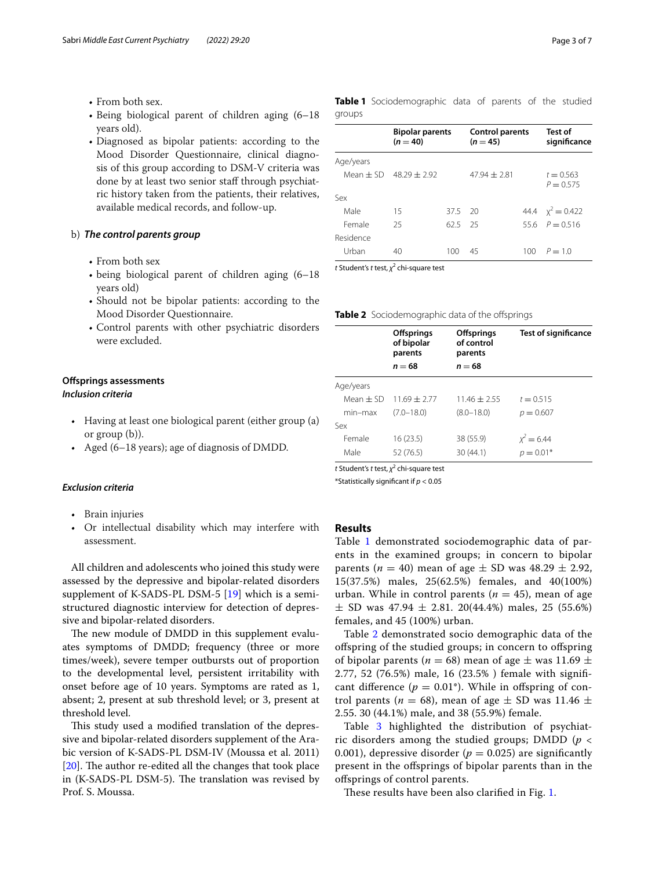- From both sex.
- Being biological parent of children aging (6–18 years old).
- Diagnosed as bipolar patients: according to the Mood Disorder Questionnaire, clinical diagnosis of this group according to DSM-V criteria was done by at least two senior staf through psychiatric history taken from the patients, their relatives, available medical records, and follow-up.

# b) *The control parents group*

- From both sex
- being biological parent of children aging (6–18 years old)
- Should not be bipolar patients: according to the Mood Disorder Questionnaire.
- Control parents with other psychiatric disorders were excluded.

## **Ofsprings assessments** *Inclusion criteria*

- Having at least one biological parent (either group (a) or group (b)).
- Aged (6–18 years); age of diagnosis of DMDD.

## *Exclusion criteria*

- Brain injuries
- Or intellectual disability which may interfere with assessment.

All children and adolescents who joined this study were assessed by the depressive and bipolar-related disorders supplement of K-SADS-PL DSM-5 [[19\]](#page-6-3) which is a semistructured diagnostic interview for detection of depressive and bipolar-related disorders.

The new module of DMDD in this supplement evaluates symptoms of DMDD; frequency (three or more times/week), severe temper outbursts out of proportion to the developmental level, persistent irritability with onset before age of 10 years. Symptoms are rated as 1, absent; 2, present at sub threshold level; or 3, present at threshold level.

This study used a modified translation of the depressive and bipolar-related disorders supplement of the Arabic version of K-SADS-PL DSM-IV (Moussa et al. 2011) [ $20$ ]. The author re-edited all the changes that took place in (K-SADS-PL DSM-5). The translation was revised by Prof. S. Moussa.

<span id="page-2-0"></span>

|           | <b>Bipolar parents</b><br>$(n = 40)$ |         | <b>Control parents</b><br>$(n = 45)$ |     | Test of<br>significance    |  |
|-----------|--------------------------------------|---------|--------------------------------------|-----|----------------------------|--|
| Age/years |                                      |         |                                      |     |                            |  |
|           | Mean $+$ SD 48 29 $+$ 2 92           |         | $47.94 + 2.81$                       |     | $t = 0.563$<br>$P = 0.575$ |  |
| Sex       |                                      |         |                                      |     |                            |  |
| Male      | 15                                   | 37.5 20 |                                      |     | 44.4 $x^2 = 0.422$         |  |
| Female    | 25                                   | 625 25  |                                      |     | 556 $P = 0.516$            |  |
| Residence |                                      |         |                                      |     |                            |  |
| Urban     | 40                                   | 100     | 45                                   | 100 | $P=10$                     |  |

*t* Student's *t* test, *χ*<sup>2</sup> chi-square test

<span id="page-2-1"></span>

| Table 2 Sociodemographic data of the offsprings |  |
|-------------------------------------------------|--|
|                                                 |  |

|               | <b>Offsprings</b><br>of bipolar<br>parents | <b>Offsprings</b><br>of control<br>parents | <b>Test of significance</b> |  |
|---------------|--------------------------------------------|--------------------------------------------|-----------------------------|--|
|               | $n = 68$                                   | $n = 68$                                   |                             |  |
| Age/years     |                                            |                                            |                             |  |
| Mean $\pm$ SD | $1169 + 277$                               | $1146 + 255$                               | $t = 0.515$                 |  |
| $min-max$     | $(7.0 - 18.0)$                             | $(8.0 - 18.0)$                             | $p = 0.607$                 |  |
| Sex           |                                            |                                            |                             |  |
| Female        | 16 (23.5)                                  | 38 (55.9)                                  | $x^2 = 6.44$                |  |
| Male          | 52 (76.5)                                  | 30(44.1)                                   | $p = 0.01*$                 |  |

*t* Student's *t* test, *χ*<sup>2</sup> chi-square test

\*Statistically signifcant if *p* < 0.05

# **Results**

Table [1](#page-2-0) demonstrated sociodemographic data of parents in the examined groups; in concern to bipolar parents ( $n = 40$ ) mean of age  $\pm$  SD was 48.29  $\pm$  2.92, 15(37.5%) males, 25(62.5%) females, and 40(100%) urban. While in control parents  $(n = 45)$ , mean of age  $\pm$  SD was 47.94  $\pm$  2.81. 20(44.4%) males, 25 (55.6%) females, and 45 (100%) urban.

Table [2](#page-2-1) demonstrated socio demographic data of the ofspring of the studied groups; in concern to ofspring of bipolar parents ( $n = 68$ ) mean of age  $\pm$  was 11.69  $\pm$ 2.77, 52 (76.5%) male, 16 (23.5% ) female with signifcant difference ( $p = 0.01^*$ ). While in offspring of control parents ( $n = 68$ ), mean of age  $\pm$  SD was 11.46  $\pm$ 2.55. 30 (44.1%) male, and 38 (55.9%) female.

Table [3](#page-3-0) highlighted the distribution of psychiatric disorders among the studied groups; DMDD (*p* < 0.001), depressive disorder ( $p = 0.025$ ) are significantly present in the ofsprings of bipolar parents than in the ofsprings of control parents.

These results have been also clarified in Fig. [1.](#page-3-1)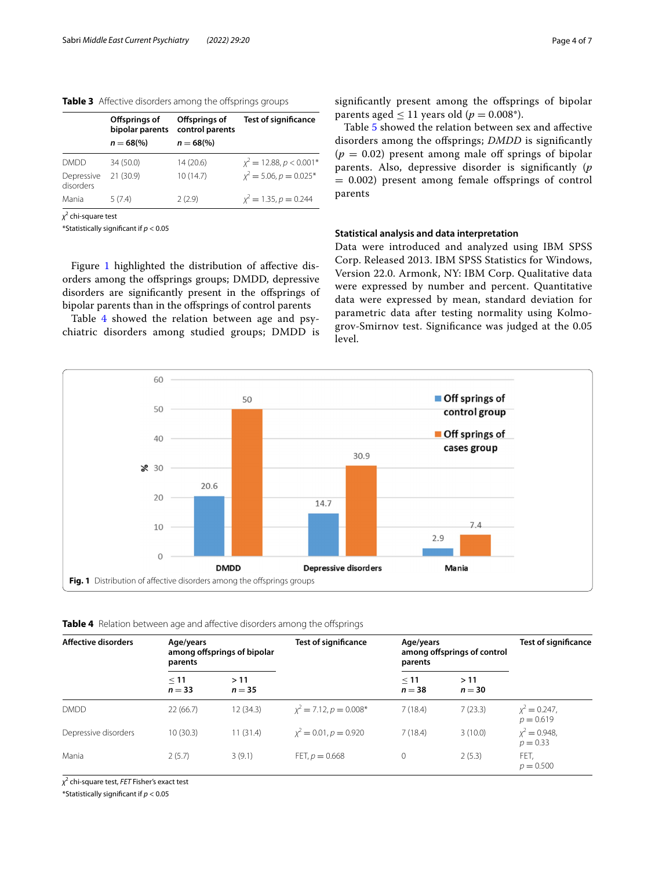|            | control parents | <b>Test of significance</b>  |  |  |
|------------|-----------------|------------------------------|--|--|
| $n = 68\%$ | $n = 68\%$      |                              |  |  |
| 34 (50.0)  | 14(20.6)        | $\chi^2$ = 12.88, p < 0.001* |  |  |
| 21 (30.9)  | 10(14.7)        | $x^2 = 5.06, p = 0.025^*$    |  |  |
| 5(7.4)     | 2(2.9)          | $x^2 = 1.35, p = 0.244$      |  |  |
|            |                 |                              |  |  |

<span id="page-3-0"></span>

|  |  |  |  |  | Table 3 Affective disorders among the offsprings groups |  |
|--|--|--|--|--|---------------------------------------------------------|--|
|--|--|--|--|--|---------------------------------------------------------|--|

*χ*2 chi-square test

\*Statistically signifcant if *p* < 0.05

Figure [1](#page-3-1) highlighted the distribution of affective disorders among the ofsprings groups; DMDD, depressive disorders are signifcantly present in the ofsprings of bipolar parents than in the ofsprings of control parents

Table [4](#page-3-2) showed the relation between age and psychiatric disorders among studied groups; DMDD is signifcantly present among the ofsprings of bipolar parents aged  $\leq 11$  years old ( $p = 0.008^*$ ).

Table [5](#page-4-0) showed the relation between sex and afective disorders among the ofsprings; *DMDD* is signifcantly  $(p = 0.02)$  present among male off springs of bipolar parents. Also, depressive disorder is signifcantly (*p*  $= 0.002$ ) present among female offsprings of control parents

# **Statistical analysis and data interpretation**

Data were introduced and analyzed using IBM SPSS Corp. Released 2013. IBM SPSS Statistics for Windows, Version 22.0. Armonk, NY: IBM Corp. Qualitative data were expressed by number and percent. Quantitative data were expressed by mean, standard deviation for parametric data after testing normality using Kolmogrov-Smirnov test. Signifcance was judged at the 0.05 level.



<span id="page-3-2"></span><span id="page-3-1"></span>

| <b>Affective disorders</b> | Age/years<br>parents  | among offsprings of bipolar | <b>Test of significance</b>  | Age/years<br>among offsprings of control<br>parents |                 | <b>Test of significance</b>    |
|----------------------------|-----------------------|-----------------------------|------------------------------|-----------------------------------------------------|-----------------|--------------------------------|
|                            | $\leq$ 11<br>$n = 33$ | >11<br>$n = 35$             |                              | $\leq$ 11<br>$n = 38$                               | >11<br>$n = 30$ |                                |
| <b>DMDD</b>                | 22(66.7)              | 12(34.3)                    | $x^2 = 7.12$ , $p = 0.008^*$ | 7(18.4)                                             | 7(23.3)         | $x^2 = 0.247$ ,<br>$p = 0.619$ |
| Depressive disorders       | 10(30.3)              | 11(31.4)                    | $x^2 = 0.01, p = 0.920$      | 7(18.4)                                             | 3(10.0)         | $x^2 = 0.948$ ,<br>$p = 0.33$  |
| Mania                      | 2(5.7)                | 3(9.1)                      | FET, $p = 0.668$             | $\mathbf{0}$                                        | 2(5.3)          | FET,<br>$p = 0.500$            |

*χ*2 chi-square test, *FET* Fisher's exact test

\*Statistically signifcant if *p* < 0.05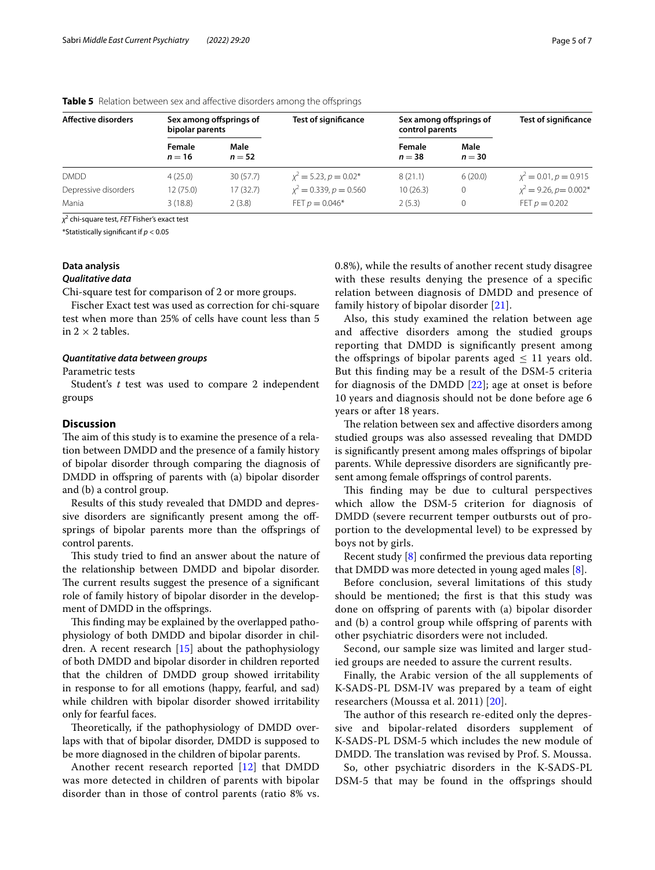| Affective disorders           | bipolar parents     | Sex among offsprings of | <b>Test of significance</b>                  | Sex among offsprings of<br>control parents |                  | <b>Test of significance</b>                    |
|-------------------------------|---------------------|-------------------------|----------------------------------------------|--------------------------------------------|------------------|------------------------------------------------|
|                               | Female<br>$n = 16$  | Male<br>$n = 52$        |                                              | Female<br>$n = 38$                         | Male<br>$n = 30$ |                                                |
| <b>DMDD</b>                   | 4(25.0)             | 30(57.7)                | $x^2 = 5.23, p = 0.02^*$                     | 8(21.1)                                    | 6(20.0)          | $x^2 = 0.01, p = 0.915$                        |
| Depressive disorders<br>Mania | 12(75.0)<br>3(18.8) | 17(32.7)<br>2(3.8)      | $x^2 = 0.339, p = 0.560$<br>FET $p = 0.046*$ | 10(26.3)<br>2(5.3)                         | $\Omega$         | $\chi^2$ = 9.26, p = 0.002*<br>FET $p = 0.202$ |

<span id="page-4-0"></span>**Table 5** Relation between sex and affective disorders among the offsprings

*χ*2 chi-square test, *FET* Fisher's exact test

\*Statistically signifcant if *p* < 0.05

# **Data analysis**

#### *Qualitative data*

Chi-square test for comparison of 2 or more groups.

Fischer Exact test was used as correction for chi-square test when more than 25% of cells have count less than 5 in  $2 \times 2$  tables.

#### *Quantitative data between groups*

Parametric tests

Student's *t* test was used to compare 2 independent groups

## **Discussion**

The aim of this study is to examine the presence of a relation between DMDD and the presence of a family history of bipolar disorder through comparing the diagnosis of DMDD in ofspring of parents with (a) bipolar disorder and (b) a control group.

Results of this study revealed that DMDD and depressive disorders are signifcantly present among the ofsprings of bipolar parents more than the offsprings of control parents.

This study tried to find an answer about the nature of the relationship between DMDD and bipolar disorder. The current results suggest the presence of a significant role of family history of bipolar disorder in the development of DMDD in the ofsprings.

This finding may be explained by the overlapped pathophysiology of both DMDD and bipolar disorder in children. A recent research [[15\]](#page-5-14) about the pathophysiology of both DMDD and bipolar disorder in children reported that the children of DMDD group showed irritability in response to for all emotions (happy, fearful, and sad) while children with bipolar disorder showed irritability only for fearful faces.

Theoretically, if the pathophysiology of DMDD overlaps with that of bipolar disorder, DMDD is supposed to be more diagnosed in the children of bipolar parents.

Another recent research reported [\[12](#page-5-11)] that DMDD was more detected in children of parents with bipolar disorder than in those of control parents (ratio 8% vs. 0.8%), while the results of another recent study disagree with these results denying the presence of a specifc relation between diagnosis of DMDD and presence of family history of bipolar disorder [[21](#page-6-5)].

Also, this study examined the relation between age and afective disorders among the studied groups reporting that DMDD is signifcantly present among the offsprings of bipolar parents aged  $\leq 11$  years old. But this fnding may be a result of the DSM-5 criteria for diagnosis of the DMDD [[22\]](#page-6-6); age at onset is before 10 years and diagnosis should not be done before age 6 years or after 18 years.

The relation between sex and affective disorders among studied groups was also assessed revealing that DMDD is signifcantly present among males ofsprings of bipolar parents. While depressive disorders are signifcantly present among female ofsprings of control parents.

This finding may be due to cultural perspectives which allow the DSM-5 criterion for diagnosis of DMDD (severe recurrent temper outbursts out of proportion to the developmental level) to be expressed by boys not by girls.

Recent study [\[8](#page-5-7)] confrmed the previous data reporting that DMDD was more detected in young aged males [\[8](#page-5-7)].

Before conclusion, several limitations of this study should be mentioned; the frst is that this study was done on ofspring of parents with (a) bipolar disorder and (b) a control group while ofspring of parents with other psychiatric disorders were not included.

Second, our sample size was limited and larger studied groups are needed to assure the current results.

Finally, the Arabic version of the all supplements of K-SADS-PL DSM-IV was prepared by a team of eight researchers (Moussa et al. 2011) [\[20\]](#page-6-4).

The author of this research re-edited only the depressive and bipolar-related disorders supplement of K-SADS-PL DSM-5 which includes the new module of DMDD. The translation was revised by Prof. S. Moussa.

So, other psychiatric disorders in the K-SADS-PL DSM-5 that may be found in the offsprings should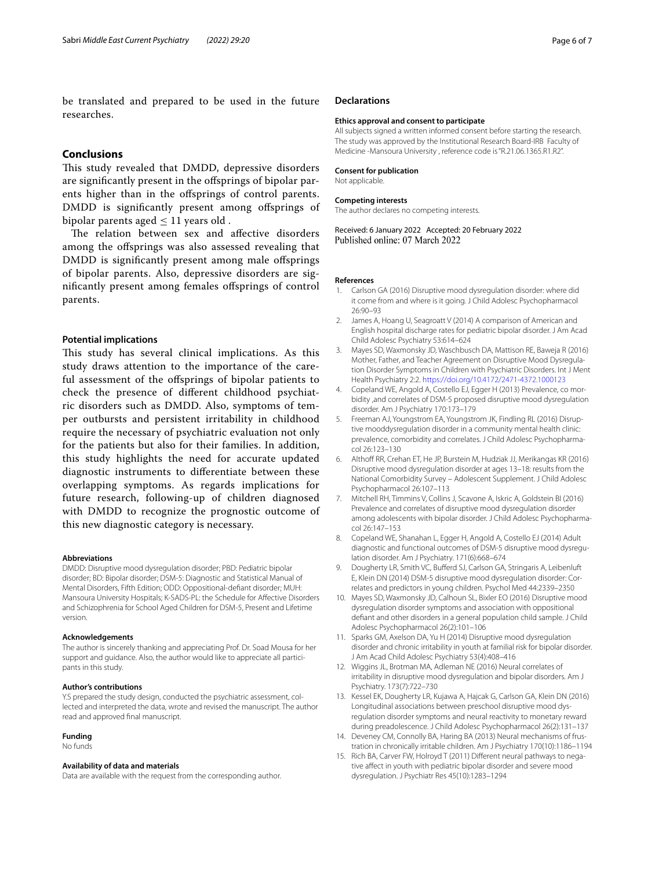be translated and prepared to be used in the future researches.

## **Conclusions**

This study revealed that DMDD, depressive disorders are signifcantly present in the ofsprings of bipolar parents higher than in the ofsprings of control parents. DMDD is significantly present among offsprings of bipolar parents aged  $\leq 11$  years old.

The relation between sex and affective disorders among the ofsprings was also assessed revealing that DMDD is significantly present among male offsprings of bipolar parents. Also, depressive disorders are signifcantly present among females ofsprings of control parents.

#### **Potential implications**

This study has several clinical implications. As this study draws attention to the importance of the careful assessment of the ofsprings of bipolar patients to check the presence of diferent childhood psychiatric disorders such as DMDD. Also, symptoms of temper outbursts and persistent irritability in childhood require the necessary of psychiatric evaluation not only for the patients but also for their families. In addition, this study highlights the need for accurate updated diagnostic instruments to diferentiate between these overlapping symptoms. As regards implications for future research, following-up of children diagnosed with DMDD to recognize the prognostic outcome of this new diagnostic category is necessary.

#### **Abbreviations**

DMDD: Disruptive mood dysregulation disorder; PBD: Pediatric bipolar disorder; BD: Bipolar disorder; DSM-5: Diagnostic and Statistical Manual of Mental Disorders, Fifth Edition; ODD: Oppositional-defant disorder; MUH: Mansoura University Hospitals; K-SADS-PL: the Schedule for Afective Disorders and Schizophrenia for School Aged Children for DSM-5, Present and Lifetime version.

#### **Acknowledgements**

The author is sincerely thanking and appreciating Prof. Dr. Soad Mousa for her support and guidance. Also, the author would like to appreciate all participants in this study.

#### **Author's contributions**

Y.S prepared the study design, conducted the psychiatric assessment, collected and interpreted the data, wrote and revised the manuscript. The author read and approved fnal manuscript.

#### **Funding**

No funds

#### **Availability of data and materials**

Data are available with the request from the corresponding author.

#### **Declarations**

#### **Ethics approval and consent to participate**

All subjects signed a written informed consent before starting the research. The study was approved by the Institutional Research Board-IRB Faculty of Medicine -Mansoura University , reference code is "R.21.06.1365.R1.R2".

#### **Consent for publication**

Not applicable.

#### **Competing interests**

The author declares no competing interests.

Received: 6 January 2022 Accepted: 20 February 2022 Published online: 07 March 2022

#### **References**

- <span id="page-5-0"></span>1. Carlson GA (2016) Disruptive mood dysregulation disorder: where did it come from and where is it going. J Child Adolesc Psychopharmacol 26:90–93
- <span id="page-5-1"></span>2. James A, Hoang U, Seagroatt V (2014) A comparison of American and English hospital discharge rates for pediatric bipolar disorder. J Am Acad Child Adolesc Psychiatry 53:614–624
- <span id="page-5-2"></span>3. Mayes SD, Waxmonsky JD, Waschbusch DA, Mattison RE, Baweja R (2016) Mother, Father, and Teacher Agreement on Disruptive Mood Dysregulation Disorder Symptoms in Children with Psychiatric Disorders. Int J Ment Health Psychiatry 2:2.<https://doi.org/10.4172/2471-4372.1000123>
- <span id="page-5-3"></span>4. Copeland WE, Angold A, Costello EJ, Egger H (2013) Prevalence, co morbidity ,and correlates of DSM-5 proposed disruptive mood dysregulation disorder. Am J Psychiatry 170:173–179
- <span id="page-5-4"></span>5. Freeman AJ, Youngstrom EA, Youngstrom JK, Findling RL (2016) Disruptive mooddysregulation disorder in a community mental health clinic: prevalence, comorbidity and correlates. J Child Adolesc Psychopharmacol 26:123–130
- <span id="page-5-5"></span>6. Althof RR, Crehan ET, He JP, Burstein M, Hudziak JJ, Merikangas KR (2016) Disruptive mood dysregulation disorder at ages 13–18: results from the National Comorbidity Survey – Adolescent Supplement. J Child Adolesc Psychopharmacol 26:107–113
- <span id="page-5-6"></span>7. Mitchell RH, Timmins V, Collins J, Scavone A, Iskric A, Goldstein BI (2016) Prevalence and correlates of disruptive mood dysregulation disorder among adolescents with bipolar disorder. J Child Adolesc Psychopharmacol 26:147–153
- <span id="page-5-7"></span>8. Copeland WE, Shanahan L, Egger H, Angold A, Costello EJ (2014) Adult diagnostic and functional outcomes of DSM-5 disruptive mood dysregulation disorder. Am J Psychiatry. 171(6):668–674
- <span id="page-5-8"></span>9. Dougherty LR, Smith VC, Bufferd SJ, Carlson GA, Stringaris A, Leibenluft E, Klein DN (2014) DSM-5 disruptive mood dysregulation disorder: Correlates and predictors in young children. Psychol Med 44:2339–2350
- <span id="page-5-9"></span>10. Mayes SD, Waxmonsky JD, Calhoun SL, Bixler EO (2016) Disruptive mood dysregulation disorder symptoms and association with oppositional defant and other disorders in a general population child sample. J Child Adolesc Psychopharmacol 26(2):101–106
- <span id="page-5-10"></span>11. Sparks GM, Axelson DA, Yu H (2014) Disruptive mood dysregulation disorder and chronic irritability in youth at familial risk for bipolar disorder. J Am Acad Child Adolesc Psychiatry 53(4):408–416
- <span id="page-5-11"></span>12. Wiggins JL, Brotman MA, Adleman NE (2016) Neural correlates of irritability in disruptive mood dysregulation and bipolar disorders. Am J Psychiatry. 173(7):722–730
- <span id="page-5-12"></span>13. Kessel EK, Dougherty LR, Kujawa A, Hajcak G, Carlson GA, Klein DN (2016) Longitudinal associations between preschool disruptive mood dysregulation disorder symptoms and neural reactivity to monetary reward during preadolescence. J Child Adolesc Psychopharmacol 26(2):131–137
- <span id="page-5-13"></span>14. Deveney CM, Connolly BA, Haring BA (2013) Neural mechanisms of frustration in chronically irritable children. Am J Psychiatry 170(10):1186–1194
- <span id="page-5-14"></span>15. Rich BA, Carver FW, Holroyd T (2011) Diferent neural pathways to negative afect in youth with pediatric bipolar disorder and severe mood dysregulation. J Psychiatr Res 45(10):1283–1294